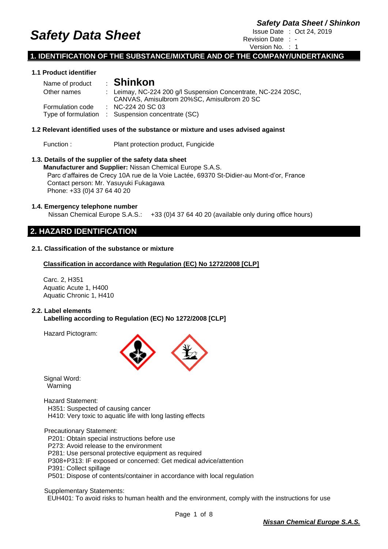# **Safety Data Sheet**

*Safety Data Sheet / Shinkon*

: Oct 24, 2019

1

Revision Date : - Version No. :

### **1. IDENTIFICATION OF THE SUBSTANCE/MIXTURE AND OF THE COMPANY/UNDERTAKING**

### **1.1 Product identifier**

| Name of product  | $\pm$ Shinkon                                                 |
|------------------|---------------------------------------------------------------|
| Other names      | : Leimay, NC-224 200 g/l Suspension Concentrate, NC-224 20SC, |
|                  | CANVAS, Amisulbrom 20%SC, Amisulbrom 20 SC                    |
| Formulation code | $\therefore$ NC-224 20 SC 03                                  |
|                  | Type of formulation : Suspension concentrate (SC)             |

### **1.2 Relevant identified uses of the substance or mixture and uses advised against**

Function : Plant protection product, Fungicide

### **1.3. Details of the supplier of the safety data sheet**

**Manufacturer and Supplier:** Nissan Chemical Europe S.A.S. Parc d'affaires de Crecy 10A rue de la Voie Lactée, 69370 St-Didier-au Mont-d'or, France Contact person: Mr. Yasuyuki Fukagawa Phone: +33 (0)4 37 64 40 20

### **1.4. Emergency telephone number**

Nissan Chemical Europe S.A.S.: +33 (0)4 37 64 40 20 (available only during office hours)

# **2. HAZARD IDENTIFICATION**

### **2.1. Classification of the substance or mixture**

### **Classification in accordance with Regulation (EC) No 1272/2008 [CLP]**

Carc. 2, H351 Aquatic Acute 1, H400 Aquatic Chronic 1, H410

### **2.2. Label elements**

**Labelling according to Regulation (EC) No 1272/2008 [CLP]**

Hazard Pictogram:



Signal Word: Warning

Hazard Statement:

H351: Suspected of causing cancer H410: Very toxic to aquatic life with long lasting effects

### Precautionary Statement:

- P201: Obtain special instructions before use
- P273: Avoid release to the environment
- P281: Use personal protective equipment as required
- P308+P313: IF exposed or concerned: Get medical advice/attention
- P391: Collect spillage
- P501: Dispose of contents/container in accordance with local regulation

Supplementary Statements:

EUH401: To avoid risks to human health and the environment, comply with the instructions for use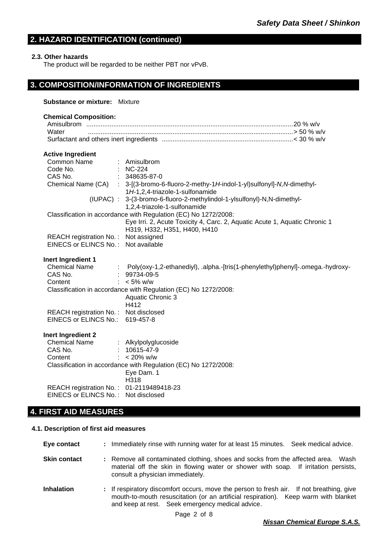# **2. HAZARD IDENTIFICATION (continued)**

### **2.3. Other hazards**

The product will be regarded to be neither PBT nor vPvB.

### **3. COMPOSITION/INFORMATION OF INGREDIENTS**

#### **Substance or mixture:** Mixture

#### **Chemical Composition:**

| Water |  |  |
|-------|--|--|
|       |  |  |

### **Active Ingredient**

| Common Name                          | : Amisulbrom                                                                            |
|--------------------------------------|-----------------------------------------------------------------------------------------|
| Code No.                             | : $NC-224$                                                                              |
| CAS No.                              | $: 348635 - 87 - 0$                                                                     |
|                                      | Chemical Name (CA) : 3-[(3-bromo-6-fluoro-2-methy-1H-indol-1-yl)sulfonyl]-N,N-dimethyl- |
|                                      | 1H-1,2,4-triazole-1-sulfonamide                                                         |
|                                      | (IUPAC): 3-(3-bromo-6-fluoro-2-methylindol-1-ylsulfonyl)-N,N-dimethyl-                  |
|                                      | 1,2,4-triazole-1-sulfonamide                                                            |
|                                      | Classification in accordance with Regulation (EC) No 1272/2008:                         |
|                                      | Eye Irri. 2, Acute Toxicity 4, Carc. 2, Aquatic Acute 1, Aquatic Chronic 1              |
|                                      | H319, H332, H351, H400, H410                                                            |
| REACH registration No.: Not assigned |                                                                                         |
| EINECS or ELINCS No.: Not available  |                                                                                         |

### **Inert Ingredient 1**

| Poly(oxy-1,2-ethanediyl), .alpha.-[tris(1-phenylethyl)phenyl]-.omega.-hydroxy- |
|--------------------------------------------------------------------------------|
| $: 99734-09-5$                                                                 |
| $: 5\%$ w/w                                                                    |
| Classification in accordance with Regulation (EC) No 1272/2008:                |
| Aquatic Chronic 3                                                              |
| H412                                                                           |
| REACH registration No.: Not disclosed                                          |
| EINECS or ELINCS No.: 619-457-8                                                |
|                                                                                |

### **Inert Ingredient 2**

| <b>Chemical Name</b>                     | : Alkylpolyglucoside                                            |
|------------------------------------------|-----------------------------------------------------------------|
| CAS No.                                  | $: 10615 - 47 - 9$                                              |
| Content                                  | $: 20\%$ w/w                                                    |
|                                          | Classification in accordance with Regulation (EC) No 1272/2008: |
|                                          | Eye Dam. 1                                                      |
|                                          | H <sub>318</sub>                                                |
| REACH registration No.: 01-2119489418-23 |                                                                 |
| EINECS or ELINCS No.: Not disclosed      |                                                                 |

### **4. FIRST AID MEASURES**

### **4.1. Description of first aid measures**

**Eye contact :** Immediately rinse with running water for at least 15 minutes. Seek medical advice.

- **Skin contact :** Remove all contaminated clothing, shoes and socks from the affected area. Wash material off the skin in flowing water or shower with soap. If irritation persists, consult a physician immediately.
- **Inhalation :** If respiratory discomfort occurs, move the person to fresh air. If not breathing, give mouth-to-mouth resuscitation (or an artificial respiration). Keep warm with blanket and keep at rest. Seek emergency medical advice.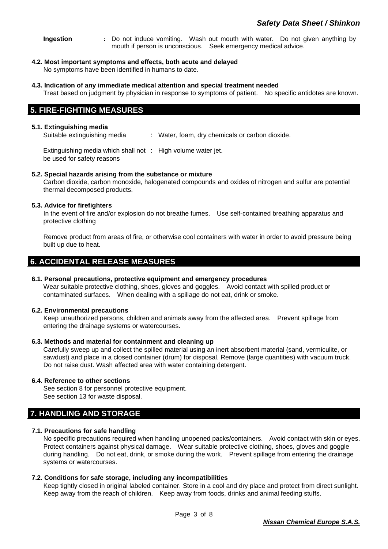**Ingestion :** Do not induce vomiting. Wash out mouth with water. Do not given anything by mouth if person is unconscious. Seek emergency medical advice.

### **4.2. Most important symptoms and effects, both acute and delayed**

No symptoms have been identified in humans to date.

### **4.3. Indication of any immediate medical attention and special treatment needed**

Treat based on judgment by physician in response to symptoms of patient. No specific antidotes are known.

# **5. FIRE-FIGHTING MEASURES**

### **5.1. Extinguishing media**

Suitable extinguishing media : Water, foam, dry chemicals or carbon dioxide.

Extinguishing media which shall not : High volume water jet. be used for safety reasons

### **5.2. Special hazards arising from the substance or mixture**

Carbon dioxide, carbon monoxide, halogenated compounds and oxides of nitrogen and sulfur are potential thermal decomposed products.

### **5.3. Advice for firefighters**

In the event of fire and/or explosion do not breathe fumes. Use self-contained breathing apparatus and protective clothing

Remove product from areas of fire, or otherwise cool containers with water in order to avoid pressure being built up due to heat.

# **6. ACCIDENTAL RELEASE MEASURES**

### **6.1. Personal precautions, protective equipment and emergency procedures**

Wear suitable protective clothing, shoes, gloves and goggles. Avoid contact with spilled product or contaminated surfaces. When dealing with a spillage do not eat, drink or smoke.

### **6.2. Environmental precautions**

Keep unauthorized persons, children and animals away from the affected area. Prevent spillage from entering the drainage systems or watercourses.

### **6.3. Methods and material for containment and cleaning up**

Carefully sweep up and collect the spilled material using an inert absorbent material (sand, vermiculite, or sawdust) and place in a closed container (drum) for disposal. Remove (large quantities) with vacuum truck. Do not raise dust. Wash affected area with water containing detergent.

### **6.4. Reference to other sections**

See section 8 for personnel protective equipment. See section 13 for waste disposal.

# **7. HANDLING AND STORAGE**

### **7.1. Precautions for safe handling**

No specific precautions required when handling unopened packs/containers. Avoid contact with skin or eyes. Protect containers against physical damage. Wear suitable protective clothing, shoes, gloves and goggle during handling. Do not eat, drink, or smoke during the work. Prevent spillage from entering the drainage systems or watercourses.

### **7.2. Conditions for safe storage, including any incompatibilities**

Keep tightly closed in original labeled container. Store in a cool and dry place and protect from direct sunlight. Keep away from the reach of children. Keep away from foods, drinks and animal feeding stuffs.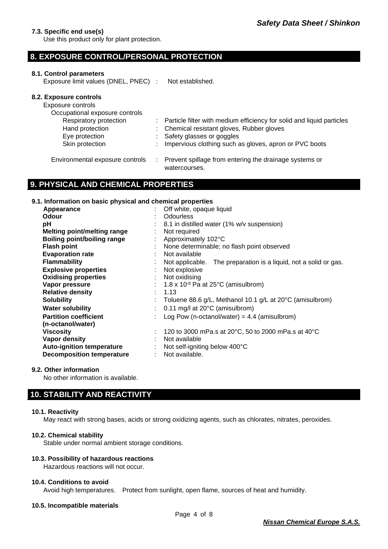### **7.3. Specific end use(s)**

Use this product only for plant protection.

# **8. EXPOSURE CONTROL/PERSONAL PROTECTION**

### **8.1. Control parameters**

Exposure limit values (DNEL, PNEC) : Not established.

| 8.2. Exposure controls<br>Exposure controls<br>Occupational exposure controls |                                                                         |
|-------------------------------------------------------------------------------|-------------------------------------------------------------------------|
| Respiratory protection                                                        | Particle filter with medium efficiency for solid and liquid particles   |
| Hand protection                                                               | : Chemical resistant gloves, Rubber gloves                              |
| Eye protection                                                                | : Safety glasses or goggles                                             |
| Skin protection                                                               | Impervious clothing such as gloves, apron or PVC boots                  |
| Environmental exposure controls                                               | Prevent spillage from entering the drainage systems or<br>watercourses. |

# **9. PHYSICAL AND CHEMICAL PROPERTIES**

### **9.1. Information on basic physical and chemical properties**

| Appearance                       | Off white, opaque liquid                                                  |
|----------------------------------|---------------------------------------------------------------------------|
| Odour                            | <b>Odourless</b>                                                          |
| рH                               | 8.1 in distilled water (1% w/v suspension)                                |
| Melting point/melting range      | Not required<br>÷                                                         |
| Boiling point/boiling range      | Approximately 102°C<br>÷                                                  |
| <b>Flash point</b>               | None determinable; no flash point observed                                |
| <b>Evaporation rate</b>          | Not available                                                             |
| <b>Flammability</b>              | Not applicable. The preparation is a liquid, not a solid or gas.          |
| <b>Explosive properties</b>      | Not explosive                                                             |
| <b>Oxidising properties</b>      | Not oxidising                                                             |
| Vapor pressure                   | 1.8 x 10 $\textdegree$ Pa at 25 $\textdegree$ C (amisulbrom)              |
| <b>Relative density</b>          | 1.13<br>÷                                                                 |
| <b>Solubility</b>                | Toluene 88.6 g/L, Methanol 10.1 g/L at 20°C (amisulbrom)                  |
| <b>Water solubility</b>          | 0.11 mg/l at 20°C (amisulbrom)                                            |
| <b>Partition coefficient</b>     | Log Pow (n-octanol/water) = $4.4$ (amisulbrom)                            |
| (n-octanol/water)                |                                                                           |
| <b>Viscosity</b>                 | 120 to 3000 mPa.s at 20 $^{\circ}$ C, 50 to 2000 mPa.s at 40 $^{\circ}$ C |
| Vapor density                    | Not available                                                             |
| <b>Auto-ignition temperature</b> | Not self-igniting below 400°C                                             |
| <b>Decomposition temperature</b> | Not available.                                                            |
|                                  |                                                                           |

### **9.2. Other information**

No other information is available.

# **10. STABILITY AND REACTIVITY**

### **10.1. Reactivity**

May react with strong bases, acids or strong oxidizing agents, such as chlorates, nitrates, peroxides.

### **10.2. Chemical stability**

Stable under normal ambient storage conditions.

### **10.3. Possibility of hazardous reactions**

Hazardous reactions will not occur.

### **10.4. Conditions to avoid**

Avoid high temperatures. Protect from sunlight, open flame, sources of heat and humidity.

### **10.5. Incompatible materials**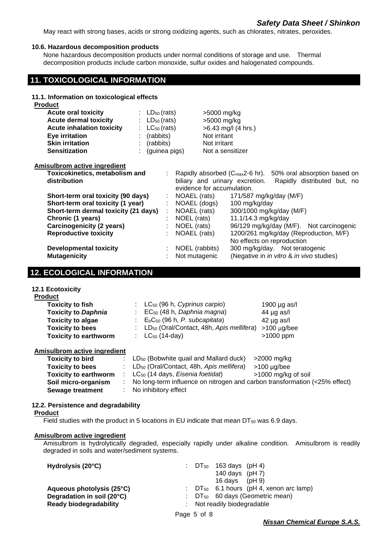### *Safety Data Sheet / Shinkon*

May react with strong bases, acids or strong oxidizing agents, such as chlorates, nitrates, peroxides.

#### **10.6. Hazardous decomposition products**

None hazardous decomposition products under normal conditions of storage and use. Thermal decomposition products include carbon monoxide, sulfur oxides and halogenated compounds.

### **11. TOXICOLOGICAL INFORMATION**

**11.1. Information on toxicological effects**

**Product**

| <b>Acute oral toxicity</b>       | : $LD_{50}$ (rats)                   | >5000 mg/kg         |
|----------------------------------|--------------------------------------|---------------------|
| <b>Acute dermal toxicity</b>     | : $LD_{50}$ (rats)                   | >5000 mg/kg         |
| <b>Acute inhalation toxicity</b> | $\therefore$ LC <sub>50</sub> (rats) | >6.43 mg/l (4 hrs.) |
| <b>Eye irritation</b>            | $:$ (rabbits)                        | Not irritant        |
| <b>Skin irritation</b>           | $:$ (rabbits)                        | Not irritant        |
| <b>Sensitization</b>             | : (guinea pigs)                      | Not a sensitizer    |

| Amisulbrom active ingredient |                              |  |
|------------------------------|------------------------------|--|
|                              | Texicolination motobolism an |  |

| Toxicokinetics, metabolism and       | Rapidly absorbed $(C_{\text{max}}2$ -6 hr). | 50% oral absorption based on                        |
|--------------------------------------|---------------------------------------------|-----------------------------------------------------|
| distribution                         | biliary and urinary excretion.              | Rapidly distributed but, no                         |
|                                      | evidence for accumulation.                  |                                                     |
| Short-term oral toxicity (90 days)   | NOAEL (rats)                                | 171/587 mg/kg/day (M/F)                             |
| Short-term oral toxicity (1 year)    | NOAEL (dogs)                                | 100 mg/kg/day                                       |
| Short-term dermal toxicity (21 days) | NOAEL (rats)                                | 300/1000 mg/kg/day (M/F)                            |
| Chronic (1 years)                    | NOEL (rats)                                 | 11.1/14.3 mg/kg/day                                 |
| <b>Carcinogenicity (2 years)</b>     | NOEL (rats)                                 | 96/129 mg/kg/day (M/F). Not carcinogenic            |
| <b>Reproductive toxicity</b>         | NOAEL (rats)                                | 1200/261 mg/kg/day (Reproduction, M/F)              |
|                                      |                                             | No effects on reproduction                          |
| <b>Developmental toxicity</b>        | NOEL (rabbits)                              | 300 mg/kg/day. Not teratogenic                      |
| <b>Mutagenicity</b>                  | Not mutagenic                               | (Negative in <i>in vitro &amp; in vivo</i> studies) |

### **12. ECOLOGICAL INFORMATION**

**12.1 Ecotoxicity**

**Product**

| <b>Toxicity to fish</b>      | $LC_{50}$ (96 h, Cyprinus carpio)                      | 1900 $\mu$ g as/l |  |
|------------------------------|--------------------------------------------------------|-------------------|--|
| <b>Toxicity to Daphnia</b>   | : $EC_{50}$ (48 h, Daphnia magna)                      | 44 $\mu$ g as/l   |  |
| <b>Toxicity to algae</b>     | : $E_bC_{50}$ (96 h, P. subcapitata)                   | $42 \mu g$ as/l   |  |
| <b>Toxicity to bees</b>      | : LD <sub>50</sub> (Oral/Contact, 48h, Apis mellifera) | $>100 \mu$ g/bee  |  |
| <b>Toxicity to earthworm</b> | : $LC_{50}$ (14-day)                                   | $>1000$ ppm       |  |
|                              |                                                        |                   |  |

**Amisulbrom active ingredient**

| <b>Toxicity to bird</b>      | $\therefore$ LD <sub>50</sub> (Bobwhite quail and Mallard duck)                                                          | >2000 mg/kg         |
|------------------------------|--------------------------------------------------------------------------------------------------------------------------|---------------------|
| <b>Toxicity to bees</b>      | : $LD_{50}$ (Oral/Contact, 48h, Apis mellifera)                                                                          | $>100 \mu g/bee$    |
| <b>Toxicity to earthworm</b> | : $LC_{50}$ (14 days, <i>Eisenia foetidat</i> )                                                                          | >1000 mg/kg of soil |
| Soil micro-organism          | : No long-term influence on nitrogen and carbon transformation $\left\langle \langle 25\% \rangle \right\rangle$ effect) |                     |
| Sewage treatment             | : No inhibitory effect                                                                                                   |                     |

### **12.2. Persistence and degradability**

#### **Product**

Field studies with the product in 5 locations in EU indicate that mean  $DT_{50}$  was 6.9 days.

### **Amisulbrom active ingredient**

Amisulbrom is hydrolytically degraded, especially rapidly under alkaline condition. Amisulbrom is readily degraded in soils and water/sediment systems.

| Hydrolysis (20°C)             |                             | : $DT_{50}$ 163 days (pH 4) |                                                                |
|-------------------------------|-----------------------------|-----------------------------|----------------------------------------------------------------|
|                               |                             | 140 days $(pH7)$            |                                                                |
|                               |                             | 16 days $(\text{pH } 9)$    |                                                                |
| Aqueous photolysis (25°C)     |                             |                             | $\therefore$ DT <sub>50</sub> 6.1 hours (pH 4, xenon arc lamp) |
| Degradation in soil (20°C)    |                             |                             | $\therefore$ DT <sub>50</sub> 60 days (Geometric mean)         |
| <b>Ready biodegradability</b> | : Not readily biodegradable |                             |                                                                |
|                               |                             |                             |                                                                |

Page 5 of 8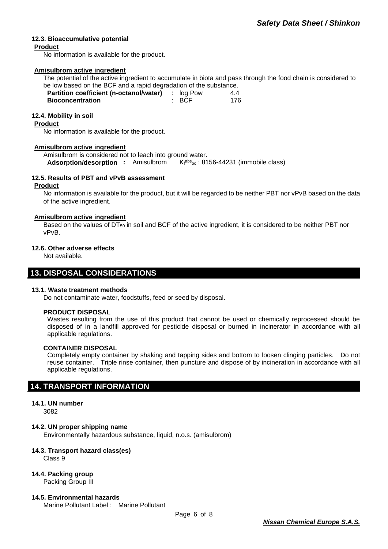### **12.3. Bioaccumulative potential**

### **Product**

No information is available for the product.

### **Amisulbrom active ingredient**

The potential of the active ingredient to accumulate in biota and pass through the food chain is considered to be low based on the BCF and a rapid degradation of the substance.

| Partition coefficient (n-octanol/water) | : log Pow | 4.4 |
|-----------------------------------------|-----------|-----|
| <b>Bioconcentration</b>                 | : BCF     | 176 |

### **12.4. Mobility in soil**

#### **Product**

No information is available for the product.

### **Amisulbrom active ingredient**

Amisulbrom is considered not to leach into ground water. **Adsorption/desorption :** Amisulbrom  $K_f^{abs}$ <sub>oc</sub> : 8156-44231 (immobile class)

# **12.5. Results of PBT and vPvB assessment**

### **Product**

No information is available for the product, but it will be regarded to be neither PBT nor vPvB based on the data of the active ingredient.

### **Amisulbrom active ingredient**

Based on the values of DT<sub>50</sub> in soil and BCF of the active ingredient, it is considered to be neither PBT nor vPvB.

### **12.6. Other adverse effects**

Not available.

### **13. DISPOSAL CONSIDERATIONS**

### **13.1. Waste treatment methods**

Do not contaminate water, foodstuffs, feed or seed by disposal.

### **PRODUCT DISPOSAL**

Wastes resulting from the use of this product that cannot be used or chemically reprocessed should be disposed of in a landfill approved for pesticide disposal or burned in incinerator in accordance with all applicable regulations.

### **CONTAINER DISPOSAL**

Completely empty container by shaking and tapping sides and bottom to loosen clinging particles. Do not reuse container. Triple rinse container, then puncture and dispose of by incineration in accordance with all applicable regulations.

# **14. TRANSPORT INFORMATION**

### **14.1. UN number**

3082

### **14.2. UN proper shipping name**

Environmentally hazardous substance, liquid, n.o.s. (amisulbrom)

### **14.3. Transport hazard class(es)**

Class 9

### **14.4. Packing group**

Packing Group III

### **14.5. Environmental hazards**

Marine Pollutant Label : Marine Pollutant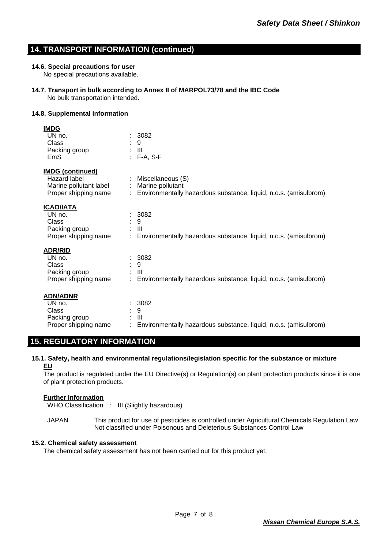### **14. TRANSPORT INFORMATION (continued)**

### **14.6. Special precautions for user**

No special precautions available.

**14.7. Transport in bulk according to Annex II of MARPOL73/78 and the IBC Code** No bulk transportation intended.

### **14.8. Supplemental information**

| <b>IMDG</b><br>UN no.<br>Class<br>Packing group<br>EmS                                    | 3082<br>9<br>: III<br>$F-A, S-F$                                                                                     |
|-------------------------------------------------------------------------------------------|----------------------------------------------------------------------------------------------------------------------|
| <b>IMDG</b> (continued)<br>Hazard label<br>Marine pollutant label<br>Proper shipping name | Miscellaneous (S)<br>Marine pollutant<br>Environmentally hazardous substance, liquid, n.o.s. (amisulbrom)            |
| <b>ICAO/IATA</b><br>UN no.<br>Class<br>Packing group<br>Proper shipping name              | 3082<br>9<br>$\pm$ 111<br>: Environmentally hazardous substance, liquid, n.o.s. (amisulbrom)                         |
| <b>ADR/RID</b><br>UN no.<br>Class<br>Packing group<br>Proper shipping name                | 3082<br>9<br>-III<br>Environmentally hazardous substance, liquid, n.o.s. (amisulbrom)<br>$\mathcal{L}^{\mathcal{L}}$ |
| <b>ADN/ADNR</b><br>UN no.<br>Class<br>Packing group<br>Proper shipping name               | 3082<br>9<br>$\pm$ 111<br>Environmentally hazardous substance, liquid, n.o.s. (amisulbrom)                           |

# **15. REGULATORY INFORMATION**

### **15.1. Safety, health and environmental regulations/legislation specific for the substance or mixture EU**

The product is regulated under the EU Directive(s) or Regulation(s) on plant protection products since it is one of plant protection products.

### **Further Information**

WHO Classification : III (Slightly hazardous)

JAPAN This product for use of pesticides is controlled under Agricultural Chemicals Regulation Law. Not classified under Poisonous and Deleterious Substances Control Law

### **15.2. Chemical safety assessment**

The chemical safety assessment has not been carried out for this product yet.